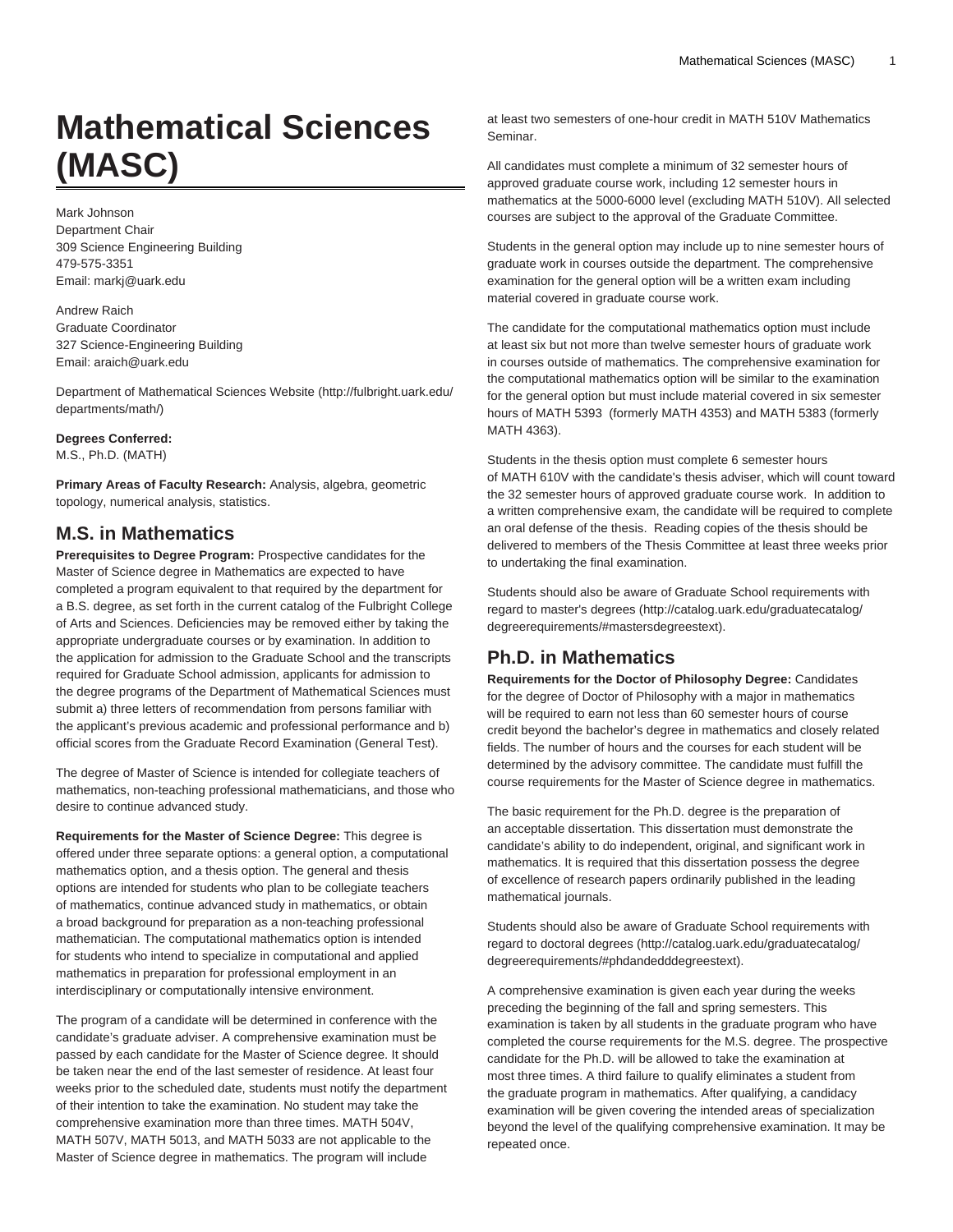# **Mathematical Sciences (MASC)**

Mark Johnson Department Chair 309 Science Engineering Building 479-575-3351 Email: [markj@uark.edu](mailto:markj@uark.edu)

Andrew Raich Graduate Coordinator 327 Science-Engineering Building Email: [araich@uark.edu](mailto:araich@uark.edu)

[Department of Mathematical Sciences Website](http://fulbright.uark.edu/departments/math/) [\(http://fulbright.uark.edu/](http://fulbright.uark.edu/departments/math/) [departments/math/\)](http://fulbright.uark.edu/departments/math/)

# **Degrees Conferred:**

M.S., Ph.D. (MATH)

**Primary Areas of Faculty Research:** Analysis, algebra, geometric topology, numerical analysis, statistics.

# **M.S. in Mathematics**

**Prerequisites to Degree Program:** Prospective candidates for the Master of Science degree in Mathematics are expected to have completed a program equivalent to that required by the department for a B.S. degree, as set forth in the current catalog of the Fulbright College of Arts and Sciences. Deficiencies may be removed either by taking the appropriate undergraduate courses or by examination. In addition to the application for admission to the Graduate School and the transcripts required for Graduate School admission, applicants for admission to the degree programs of the Department of Mathematical Sciences must submit a) three letters of recommendation from persons familiar with the applicant's previous academic and professional performance and b) official scores from the Graduate Record Examination (General Test).

The degree of Master of Science is intended for collegiate teachers of mathematics, non-teaching professional mathematicians, and those who desire to continue advanced study.

**Requirements for the Master of Science Degree:** This degree is offered under three separate options: a general option, a computational mathematics option, and a thesis option. The general and thesis options are intended for students who plan to be collegiate teachers of mathematics, continue advanced study in mathematics, or obtain a broad background for preparation as a non-teaching professional mathematician. The computational mathematics option is intended for students who intend to specialize in computational and applied mathematics in preparation for professional employment in an interdisciplinary or computationally intensive environment.

The program of a candidate will be determined in conference with the candidate's graduate adviser. A comprehensive examination must be passed by each candidate for the Master of Science degree. It should be taken near the end of the last semester of residence. At least four weeks prior to the scheduled date, students must notify the department of their intention to take the examination. No student may take the comprehensive examination more than three times. MATH 504V, MATH 507V, MATH 5013, and MATH 5033 are not applicable to the Master of Science degree in mathematics. The program will include

at least two semesters of one-hour credit in MATH 510V Mathematics Seminar.

All candidates must complete a minimum of 32 semester hours of approved graduate course work, including 12 semester hours in mathematics at the 5000-6000 level (excluding MATH 510V). All selected courses are subject to the approval of the Graduate Committee.

Students in the general option may include up to nine semester hours of graduate work in courses outside the department. The comprehensive examination for the general option will be a written exam including material covered in graduate course work.

The candidate for the computational mathematics option must include at least six but not more than twelve semester hours of graduate work in courses outside of mathematics. The comprehensive examination for the computational mathematics option will be similar to the examination for the general option but must include material covered in six semester hours of MATH 5393 (formerly MATH 4353) and MATH 5383 (formerly MATH 4363).

Students in the thesis option must complete 6 semester hours of MATH 610V with the candidate's thesis adviser, which will count toward the 32 semester hours of approved graduate course work. In addition to a written comprehensive exam, the candidate will be required to complete an oral defense of the thesis. Reading copies of the thesis should be delivered to members of the Thesis Committee at least three weeks prior to undertaking the final examination.

Students should also be aware of Graduate School requirements with regard to [master's degrees \(http://catalog.uark.edu/graduatecatalog/](http://catalog.uark.edu/graduatecatalog/degreerequirements/#mastersdegreestext) [degreerequirements/#mastersdegreestext\)](http://catalog.uark.edu/graduatecatalog/degreerequirements/#mastersdegreestext).

# **Ph.D. in Mathematics**

**Requirements for the Doctor of Philosophy Degree:** Candidates for the degree of Doctor of Philosophy with a major in mathematics will be required to earn not less than 60 semester hours of course credit beyond the bachelor's degree in mathematics and closely related fields. The number of hours and the courses for each student will be determined by the advisory committee. The candidate must fulfill the course requirements for the Master of Science degree in mathematics.

The basic requirement for the Ph.D. degree is the preparation of an acceptable dissertation. This dissertation must demonstrate the candidate's ability to do independent, original, and significant work in mathematics. It is required that this dissertation possess the degree of excellence of research papers ordinarily published in the leading mathematical journals.

Students should also be aware of Graduate School requirements with regard to [doctoral degrees](http://catalog.uark.edu/graduatecatalog/degreerequirements/#phdandedddegreestext) ([http://catalog.uark.edu/graduatecatalog/](http://catalog.uark.edu/graduatecatalog/degreerequirements/#phdandedddegreestext) [degreerequirements/#phdandedddegreestext](http://catalog.uark.edu/graduatecatalog/degreerequirements/#phdandedddegreestext)).

A comprehensive examination is given each year during the weeks preceding the beginning of the fall and spring semesters. This examination is taken by all students in the graduate program who have completed the course requirements for the M.S. degree. The prospective candidate for the Ph.D. will be allowed to take the examination at most three times. A third failure to qualify eliminates a student from the graduate program in mathematics. After qualifying, a candidacy examination will be given covering the intended areas of specialization beyond the level of the qualifying comprehensive examination. It may be repeated once.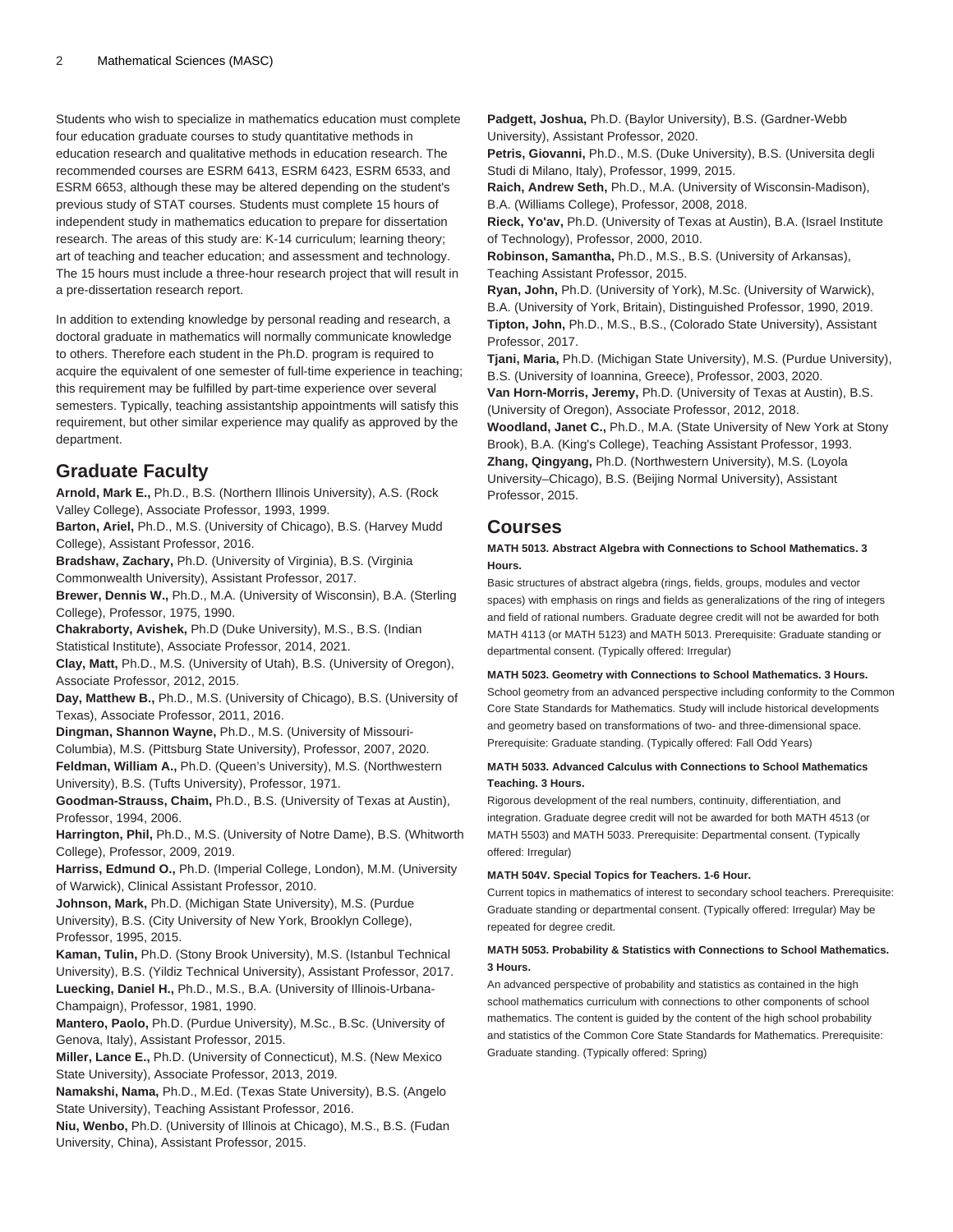Students who wish to specialize in mathematics education must complete four education graduate courses to study quantitative methods in education research and qualitative methods in education research. The recommended courses are ESRM 6413, ESRM 6423, ESRM 6533, and ESRM 6653, although these may be altered depending on the student's previous study of STAT courses. Students must complete 15 hours of independent study in mathematics education to prepare for dissertation research. The areas of this study are: K-14 curriculum; learning theory; art of teaching and teacher education; and assessment and technology. The 15 hours must include a three-hour research project that will result in a pre-dissertation research report.

In addition to extending knowledge by personal reading and research, a doctoral graduate in mathematics will normally communicate knowledge to others. Therefore each student in the Ph.D. program is required to acquire the equivalent of one semester of full-time experience in teaching; this requirement may be fulfilled by part-time experience over several semesters. Typically, teaching assistantship appointments will satisfy this requirement, but other similar experience may qualify as approved by the department.

### **Graduate Faculty**

**Arnold, Mark E.,** Ph.D., B.S. (Northern Illinois University), A.S. (Rock Valley College), Associate Professor, 1993, 1999.

**Barton, Ariel,** Ph.D., M.S. (University of Chicago), B.S. (Harvey Mudd College), Assistant Professor, 2016.

**Bradshaw, Zachary,** Ph.D. (University of Virginia), B.S. (Virginia Commonwealth University), Assistant Professor, 2017.

**Brewer, Dennis W.,** Ph.D., M.A. (University of Wisconsin), B.A. (Sterling College), Professor, 1975, 1990.

**Chakraborty, Avishek,** Ph.D (Duke University), M.S., B.S. (Indian Statistical Institute), Associate Professor, 2014, 2021.

**Clay, Matt,** Ph.D., M.S. (University of Utah), B.S. (University of Oregon), Associate Professor, 2012, 2015.

**Day, Matthew B.,** Ph.D., M.S. (University of Chicago), B.S. (University of Texas), Associate Professor, 2011, 2016.

**Dingman, Shannon Wayne,** Ph.D., M.S. (University of Missouri-

Columbia), M.S. (Pittsburg State University), Professor, 2007, 2020. **Feldman, William A.,** Ph.D. (Queen's University), M.S. (Northwestern

University), B.S. (Tufts University), Professor, 1971. **Goodman-Strauss, Chaim,** Ph.D., B.S. (University of Texas at Austin), Professor, 1994, 2006.

**Harrington, Phil,** Ph.D., M.S. (University of Notre Dame), B.S. (Whitworth College), Professor, 2009, 2019.

**Harriss, Edmund O.,** Ph.D. (Imperial College, London), M.M. (University of Warwick), Clinical Assistant Professor, 2010.

**Johnson, Mark,** Ph.D. (Michigan State University), M.S. (Purdue University), B.S. (City University of New York, Brooklyn College), Professor, 1995, 2015.

**Kaman, Tulin,** Ph.D. (Stony Brook University), M.S. (Istanbul Technical University), B.S. (Yildiz Technical University), Assistant Professor, 2017. **Luecking, Daniel H.,** Ph.D., M.S., B.A. (University of Illinois-Urbana-Champaign), Professor, 1981, 1990.

**Mantero, Paolo,** Ph.D. (Purdue University), M.Sc., B.Sc. (University of Genova, Italy), Assistant Professor, 2015.

**Miller, Lance E.,** Ph.D. (University of Connecticut), M.S. (New Mexico State University), Associate Professor, 2013, 2019.

**Namakshi, Nama,** Ph.D., M.Ed. (Texas State University), B.S. (Angelo State University), Teaching Assistant Professor, 2016.

**Niu, Wenbo,** Ph.D. (University of Illinois at Chicago), M.S., B.S. (Fudan University, China), Assistant Professor, 2015.

**Padgett, Joshua,** Ph.D. (Baylor University), B.S. (Gardner-Webb University), Assistant Professor, 2020.

**Petris, Giovanni,** Ph.D., M.S. (Duke University), B.S. (Universita degli Studi di Milano, Italy), Professor, 1999, 2015.

**Raich, Andrew Seth,** Ph.D., M.A. (University of Wisconsin-Madison), B.A. (Williams College), Professor, 2008, 2018.

**Rieck, Yo'av,** Ph.D. (University of Texas at Austin), B.A. (Israel Institute of Technology), Professor, 2000, 2010.

**Robinson, Samantha,** Ph.D., M.S., B.S. (University of Arkansas), Teaching Assistant Professor, 2015.

**Ryan, John,** Ph.D. (University of York), M.Sc. (University of Warwick), B.A. (University of York, Britain), Distinguished Professor, 1990, 2019. **Tipton, John,** Ph.D., M.S., B.S., (Colorado State University), Assistant Professor, 2017.

**Tjani, Maria,** Ph.D. (Michigan State University), M.S. (Purdue University), B.S. (University of Ioannina, Greece), Professor, 2003, 2020.

**Van Horn-Morris, Jeremy,** Ph.D. (University of Texas at Austin), B.S. (University of Oregon), Associate Professor, 2012, 2018.

**Woodland, Janet C.,** Ph.D., M.A. (State University of New York at Stony Brook), B.A. (King's College), Teaching Assistant Professor, 1993. **Zhang, Qingyang,** Ph.D. (Northwestern University), M.S. (Loyola University–Chicago), B.S. (Beijing Normal University), Assistant Professor, 2015.

# **Courses**

#### **MATH 5013. Abstract Algebra with Connections to School Mathematics. 3 Hours.**

Basic structures of abstract algebra (rings, fields, groups, modules and vector spaces) with emphasis on rings and fields as generalizations of the ring of integers and field of rational numbers. Graduate degree credit will not be awarded for both [MATH 4113](/search/?P=MATH%204113) (or [MATH 5123](/search/?P=MATH%205123)) and [MATH 5013.](/search/?P=MATH%205013) Prerequisite: Graduate standing or departmental consent. (Typically offered: Irregular)

#### **MATH 5023. Geometry with Connections to School Mathematics. 3 Hours.**

School geometry from an advanced perspective including conformity to the Common Core State Standards for Mathematics. Study will include historical developments and geometry based on transformations of two- and three-dimensional space. Prerequisite: Graduate standing. (Typically offered: Fall Odd Years)

#### **MATH 5033. Advanced Calculus with Connections to School Mathematics Teaching. 3 Hours.**

Rigorous development of the real numbers, continuity, differentiation, and integration. Graduate degree credit will not be awarded for both [MATH 4513](/search/?P=MATH%204513) (or [MATH 5503\)](/search/?P=MATH%205503) and [MATH 5033.](/search/?P=MATH%205033) Prerequisite: Departmental consent. (Typically offered: Irregular)

#### **MATH 504V. Special Topics for Teachers. 1-6 Hour.**

Current topics in mathematics of interest to secondary school teachers. Prerequisite: Graduate standing or departmental consent. (Typically offered: Irregular) May be repeated for degree credit.

#### **MATH 5053. Probability & Statistics with Connections to School Mathematics. 3 Hours.**

An advanced perspective of probability and statistics as contained in the high school mathematics curriculum with connections to other components of school mathematics. The content is guided by the content of the high school probability and statistics of the Common Core State Standards for Mathematics. Prerequisite: Graduate standing. (Typically offered: Spring)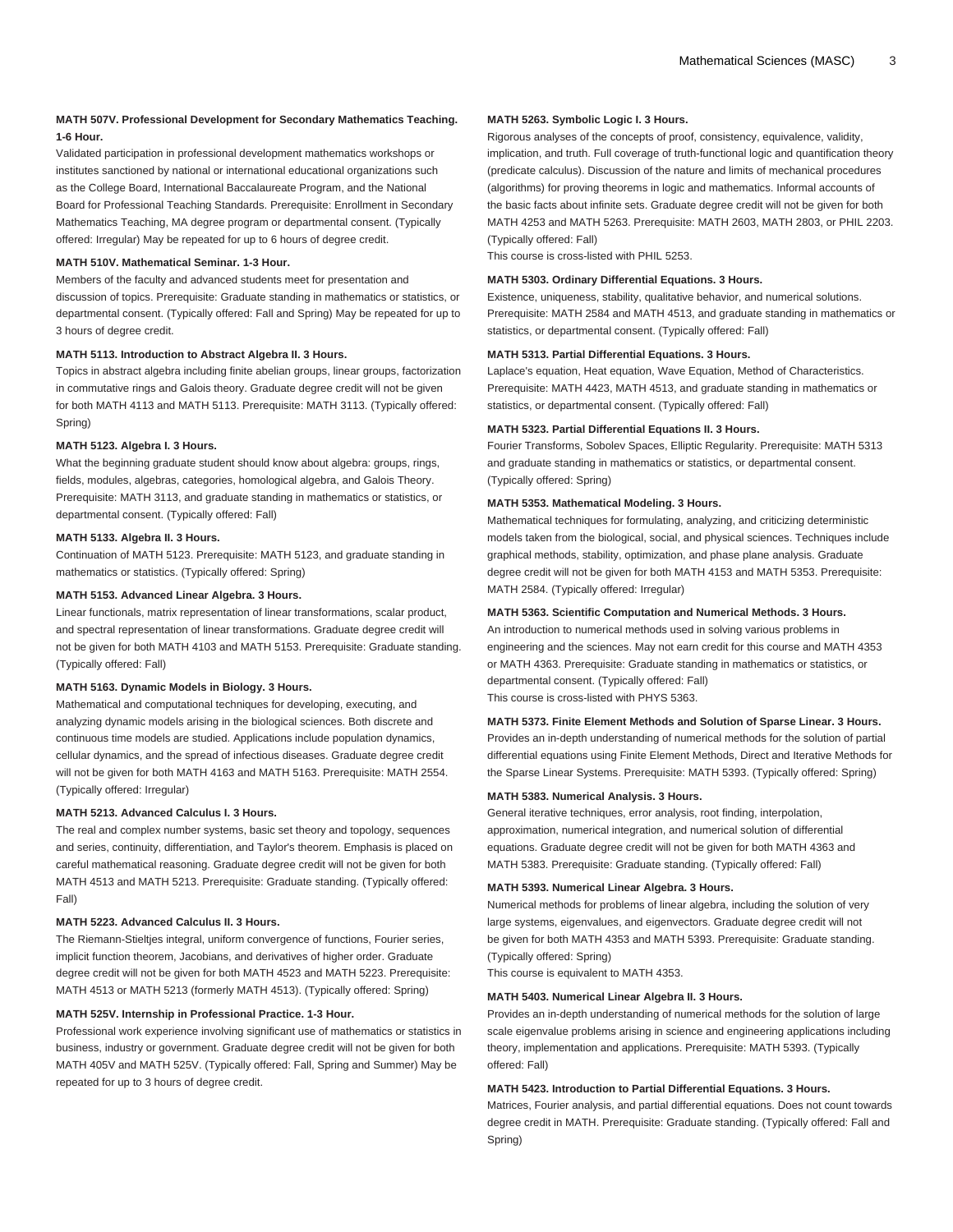#### **MATH 507V. Professional Development for Secondary Mathematics Teaching. 1-6 Hour.**

Validated participation in professional development mathematics workshops or institutes sanctioned by national or international educational organizations such as the College Board, International Baccalaureate Program, and the National Board for Professional Teaching Standards. Prerequisite: Enrollment in Secondary Mathematics Teaching, MA degree program or departmental consent. (Typically offered: Irregular) May be repeated for up to 6 hours of degree credit.

#### **MATH 510V. Mathematical Seminar. 1-3 Hour.**

Members of the faculty and advanced students meet for presentation and discussion of topics. Prerequisite: Graduate standing in mathematics or statistics, or departmental consent. (Typically offered: Fall and Spring) May be repeated for up to 3 hours of degree credit.

#### **MATH 5113. Introduction to Abstract Algebra II. 3 Hours.**

Topics in abstract algebra including finite abelian groups, linear groups, factorization in commutative rings and Galois theory. Graduate degree credit will not be given for both [MATH 4113](/search/?P=MATH%204113) and [MATH 5113.](/search/?P=MATH%205113) Prerequisite: [MATH 3113](/search/?P=MATH%203113). (Typically offered: Spring)

#### **MATH 5123. Algebra I. 3 Hours.**

What the beginning graduate student should know about algebra: groups, rings, fields, modules, algebras, categories, homological algebra, and Galois Theory. Prerequisite: [MATH 3113,](/search/?P=MATH%203113) and graduate standing in mathematics or statistics, or departmental consent. (Typically offered: Fall)

#### **MATH 5133. Algebra II. 3 Hours.**

Continuation of [MATH 5123](/search/?P=MATH%205123). Prerequisite: [MATH 5123,](/search/?P=MATH%205123) and graduate standing in mathematics or statistics. (Typically offered: Spring)

#### **MATH 5153. Advanced Linear Algebra. 3 Hours.**

Linear functionals, matrix representation of linear transformations, scalar product, and spectral representation of linear transformations. Graduate degree credit will not be given for both [MATH 4103](/search/?P=MATH%204103) and [MATH 5153](/search/?P=MATH%205153). Prerequisite: Graduate standing. (Typically offered: Fall)

#### **MATH 5163. Dynamic Models in Biology. 3 Hours.**

Mathematical and computational techniques for developing, executing, and analyzing dynamic models arising in the biological sciences. Both discrete and continuous time models are studied. Applications include population dynamics, cellular dynamics, and the spread of infectious diseases. Graduate degree credit will not be given for both [MATH 4163](/search/?P=MATH%204163) and [MATH 5163.](/search/?P=MATH%205163) Prerequisite: [MATH 2554](/search/?P=MATH%202554). (Typically offered: Irregular)

#### **MATH 5213. Advanced Calculus I. 3 Hours.**

The real and complex number systems, basic set theory and topology, sequences and series, continuity, differentiation, and Taylor's theorem. Emphasis is placed on careful mathematical reasoning. Graduate degree credit will not be given for both [MATH 4513](/search/?P=MATH%204513) and [MATH 5213](/search/?P=MATH%205213). Prerequisite: Graduate standing. (Typically offered: Fall)

#### **MATH 5223. Advanced Calculus II. 3 Hours.**

The Riemann-Stieltjes integral, uniform convergence of functions, Fourier series, implicit function theorem, Jacobians, and derivatives of higher order. Graduate degree credit will not be given for both [MATH 4523](/search/?P=MATH%204523) and [MATH 5223](/search/?P=MATH%205223). Prerequisite: [MATH 4513](/search/?P=MATH%204513) or [MATH 5213](/search/?P=MATH%205213) (formerly [MATH 4513\)](/search/?P=MATH%204513). (Typically offered: Spring)

#### **MATH 525V. Internship in Professional Practice. 1-3 Hour.**

Professional work experience involving significant use of mathematics or statistics in business, industry or government. Graduate degree credit will not be given for both [MATH 405V](/search/?P=MATH%20405V) and [MATH 525V.](/search/?P=MATH%20525V) (Typically offered: Fall, Spring and Summer) May be repeated for up to 3 hours of degree credit.

#### **MATH 5263. Symbolic Logic I. 3 Hours.**

Rigorous analyses of the concepts of proof, consistency, equivalence, validity, implication, and truth. Full coverage of truth-functional logic and quantification theory (predicate calculus). Discussion of the nature and limits of mechanical procedures (algorithms) for proving theorems in logic and mathematics. Informal accounts of the basic facts about infinite sets. Graduate degree credit will not be given for both [MATH 4253](/search/?P=MATH%204253) and [MATH 5263](/search/?P=MATH%205263). Prerequisite: [MATH 2603,](/search/?P=MATH%202603) [MATH 2803](/search/?P=MATH%202803), or [PHIL 2203](/search/?P=PHIL%202203). (Typically offered: Fall)

This course is cross-listed with [PHIL 5253](/search/?P=PHIL%205253).

#### **MATH 5303. Ordinary Differential Equations. 3 Hours.**

Existence, uniqueness, stability, qualitative behavior, and numerical solutions. Prerequisite: [MATH 2584](/search/?P=MATH%202584) and [MATH 4513,](/search/?P=MATH%204513) and graduate standing in mathematics or statistics, or departmental consent. (Typically offered: Fall)

#### **MATH 5313. Partial Differential Equations. 3 Hours.**

Laplace's equation, Heat equation, Wave Equation, Method of Characteristics. Prerequisite: [MATH 4423,](/search/?P=MATH%204423) [MATH 4513](/search/?P=MATH%204513), and graduate standing in mathematics or statistics, or departmental consent. (Typically offered: Fall)

#### **MATH 5323. Partial Differential Equations II. 3 Hours.**

Fourier Transforms, Sobolev Spaces, Elliptic Regularity. Prerequisite: [MATH 5313](/search/?P=MATH%205313) and graduate standing in mathematics or statistics, or departmental consent. (Typically offered: Spring)

#### **MATH 5353. Mathematical Modeling. 3 Hours.**

Mathematical techniques for formulating, analyzing, and criticizing deterministic models taken from the biological, social, and physical sciences. Techniques include graphical methods, stability, optimization, and phase plane analysis. Graduate degree credit will not be given for both [MATH 4153](/search/?P=MATH%204153) and [MATH 5353.](/search/?P=MATH%205353) Prerequisite: [MATH 2584.](/search/?P=MATH%202584) (Typically offered: Irregular)

#### **MATH 5363. Scientific Computation and Numerical Methods. 3 Hours.**

An introduction to numerical methods used in solving various problems in engineering and the sciences. May not earn credit for this course and [MATH 4353](/search/?P=MATH%204353) or [MATH 4363.](/search/?P=MATH%204363) Prerequisite: Graduate standing in mathematics or statistics, or departmental consent. (Typically offered: Fall) This course is cross-listed with [PHYS 5363.](/search/?P=PHYS%205363)

#### **MATH 5373. Finite Element Methods and Solution of Sparse Linear. 3 Hours.** Provides an in-depth understanding of numerical methods for the solution of partial differential equations using Finite Element Methods, Direct and Iterative Methods for the Sparse Linear Systems. Prerequisite: [MATH 5393.](/search/?P=MATH%205393) (Typically offered: Spring)

#### **MATH 5383. Numerical Analysis. 3 Hours.**

General iterative techniques, error analysis, root finding, interpolation, approximation, numerical integration, and numerical solution of differential equations. Graduate degree credit will not be given for both [MATH 4363](/search/?P=MATH%204363) and [MATH 5383.](/search/?P=MATH%205383) Prerequisite: Graduate standing. (Typically offered: Fall)

#### **MATH 5393. Numerical Linear Algebra. 3 Hours.**

Numerical methods for problems of linear algebra, including the solution of very large systems, eigenvalues, and eigenvectors. Graduate degree credit will not be given for both [MATH 4353](/search/?P=MATH%204353) and [MATH 5393.](/search/?P=MATH%205393) Prerequisite: Graduate standing. (Typically offered: Spring)

This course is equivalent to [MATH 4353](/search/?P=MATH%204353).

#### **MATH 5403. Numerical Linear Algebra II. 3 Hours.**

Provides an in-depth understanding of numerical methods for the solution of large scale eigenvalue problems arising in science and engineering applications including theory, implementation and applications. Prerequisite: [MATH 5393](/search/?P=MATH%205393). (Typically offered: Fall)

#### **MATH 5423. Introduction to Partial Differential Equations. 3 Hours.**

Matrices, Fourier analysis, and partial differential equations. Does not count towards degree credit in MATH. Prerequisite: Graduate standing. (Typically offered: Fall and Spring)